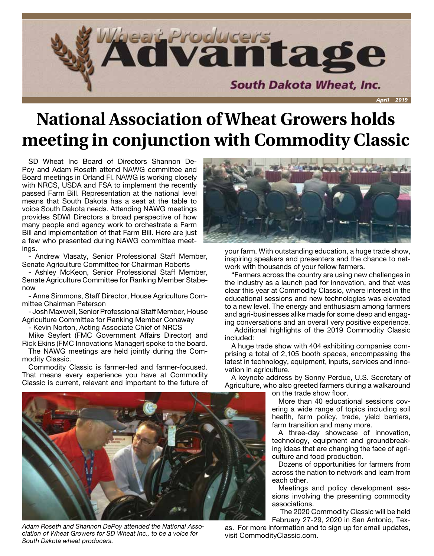

## **National Association of Wheat Growers holds meeting in conjunction with Commodity Classic**

SD Wheat Inc Board of Directors Shannon De-Poy and Adam Roseth attend NAWG committee and Board meetings in Orland Fl. NAWG is working closely with NRCS, USDA and FSA to implement the recently passed Farm Bill. Representation at the national level means that South Dakota has a seat at the table to voice South Dakota needs. Attending NAWG meetings provides SDWI Directors a broad perspective of how many people and agency work to orchestrate a Farm Bill and implementation of that Farm Bill. Here are just a few who presented during NAWG committee meetings.

- Andrew Vlasaty, Senior Professional Staff Member, Senate Agriculture Committee for Chairman Roberts

- Ashley McKeon, Senior Professional Staff Member, Senate Agriculture Committee for Ranking Member Stabenow

- Anne Simmons, Staff Director, House Agriculture Committee Chairman Peterson

- Josh Maxwell, Senior Professional Staff Member, House Agriculture Committee for Ranking Member Conaway

- Kevin Norton, Acting Associate Chief of NRCS

Mike Seyfert (FMC Government Affairs Director) and Rick Ekins (FMC Innovations Manager) spoke to the board.

The NAWG meetings are held jointly during the Commodity Classic.

Commodity Classic is farmer-led and farmer-focused. That means every experience you have at Commodity Classic is current, relevant and important to the future of



*Adam Roseth and Shannon DePoy attended the National Association of Wheat Growers for SD Wheat Inc., to be a voice for South Dakota wheat producers.*



your farm. With outstanding education, a huge trade show, inspiring speakers and presenters and the chance to network with thousands of your fellow farmers.

"Farmers across the country are using new challenges in the industry as a launch pad for innovation, and that was clear this year at Commodity Classic, where interest in the educational sessions and new technologies was elevated to a new level. The energy and enthusiasm among farmers and agri-businesses alike made for some deep and engaging conversations and an overall very positive experience.

Additional highlights of the 2019 Commodity Classic included:

A huge trade show with 404 exhibiting companies comprising a total of 2,105 booth spaces, encompassing the latest in technology, equipment, inputs, services and innovation in agriculture.

A keynote address by Sonny Perdue, U.S. Secretary of Agriculture, who also greeted farmers during a walkaround

on the trade show floor.

More than 40 educational sessions covering a wide range of topics including soil health, farm policy, trade, yield barriers, farm transition and many more.

A three-day showcase of innovation, technology, equipment and groundbreaking ideas that are changing the face of agriculture and food production.

Dozens of opportunities for farmers from across the nation to network and learn from each other.

Meetings and policy development sessions involving the presenting commodity associations.

The 2020 Commodity Classic will be held February 27-29, 2020 in San Antonio, Tex-

as. For more information and to sign up for email updates, visit CommodityClassic.com.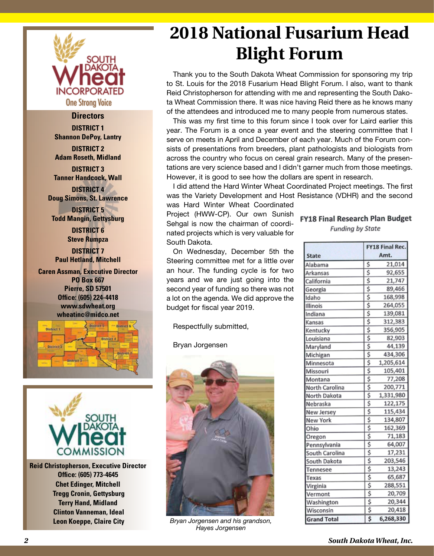

#### **Directors**

**DISTRICT 1 Shannon DePoy, Lantry**

**DISTRICT 2 Adam Roseth, Midland**

**DISTRICT 3 Tanner Handcock, Wall DISTRICT 4**

**Doug Simons, St. Lawrence**

**DISTRICT 5 Todd Mangin, Gettysburg DISTRICT 6**

**Steve Rumpza DISTRICT 7**

**Paul Hetland, Mitchell**

**Caren Assman, Executive Director PO Box 667 Pierre, SD 57501 Office: (605) 224-4418 www.sdwheat.org wheatinc@midco.net**





**Reid Christopherson, Executive Director Office: (605) 773-4645 Chet Edinger, Mitchell Tregg Cronin, Gettysburg Terry Hand, Midland Clinton Vanneman, Ideal Leon Koeppe, Claire City**

## **2018 National Fusarium Head Blight Forum**

Thank you to the South Dakota Wheat Commission for sponsoring my trip to St. Louis for the 2018 Fusarium Head Blight Forum. I also, want to thank Reid Christopherson for attending with me and representing the South Dakota Wheat Commission there. It was nice having Reid there as he knows many of the attendees and introduced me to many people from numerous states.

This was my first time to this forum since I took over for Laird earlier this year. The Forum is a once a year event and the steering committee that I serve on meets in April and December of each year. Much of the Forum consists of presentations from breeders, plant pathologists and biologists from across the country who focus on cereal grain research. Many of the presentations are very science based and I didn't garner much from those meetings. However, it is good to see how the dollars are spent in research.

I did attend the Hard Winter Wheat Coordinated Project meetings. The first was the Variety Development and Host Resistance (VDHR) and the second

was Hard Winter Wheat Coordinated Project (HWW-CP). Our own Sunish Sehgal is now the chairman of coordinated projects which is very valuable for South Dakota.

On Wednesday, December 5th the Steering committee met for a little over an hour. The funding cycle is for two years and we are just going into the second year of funding so there was not a lot on the agenda. We did approve the budget for fiscal year 2019.

Respectfully submitted,

Bryan Jorgensen



*Bryan Jorgensen and his grandson, Hayes Jorgensen*

### **FY18 Final Research Plan Budget**

**Funding by State** 

|                    |    | <b>FY18 Final Rec.</b> |  |  |  |
|--------------------|----|------------------------|--|--|--|
| <b>State</b>       |    | Amt.                   |  |  |  |
| Alabama            | \$ | 21,014                 |  |  |  |
| Arkansas           | \$ | 92,655                 |  |  |  |
| California         | \$ | 21,747                 |  |  |  |
| Georgia            | \$ | 89,466                 |  |  |  |
| Idaho              | \$ | 168,998                |  |  |  |
| Illinois           | \$ | 264,055                |  |  |  |
| Indiana            | \$ | 139,081                |  |  |  |
| Kansas             | \$ | 312,383                |  |  |  |
| Kentucky           | \$ | 356,905                |  |  |  |
| Louisiana          | \$ | 82,903                 |  |  |  |
| Maryland           | \$ | 44,139                 |  |  |  |
| Michigan           | \$ | 434,306                |  |  |  |
| Minnesota          | \$ | 1,205,614              |  |  |  |
| Missouri           | \$ | 105,401                |  |  |  |
| Montana            | \$ | 77,208                 |  |  |  |
| North Carolina     | \$ | 200,771                |  |  |  |
| North Dakota       | \$ | 1,331,980              |  |  |  |
| Nebraska           | \$ | 122,175                |  |  |  |
| New Jersey         | \$ | 115,434                |  |  |  |
| <b>New York</b>    | \$ | 134,807                |  |  |  |
| Ohio               | \$ | 162,369                |  |  |  |
| Oregon             | Š  | 71,183                 |  |  |  |
| Pennsylvania       | \$ | 64,007                 |  |  |  |
| South Carolina     |    | 17,231                 |  |  |  |
| South Dakota       | ŝ  | 203,546                |  |  |  |
| Tennesee           | \$ | 13,243                 |  |  |  |
| Texas              | \$ | 65,687                 |  |  |  |
| Virginia           | \$ | 288,551                |  |  |  |
| Vermont            | \$ | 20,709                 |  |  |  |
| Washington         | \$ | 20,344                 |  |  |  |
| Wisconsin          | \$ | 20,418                 |  |  |  |
| <b>Grand Total</b> | Ś  | 6,268,330              |  |  |  |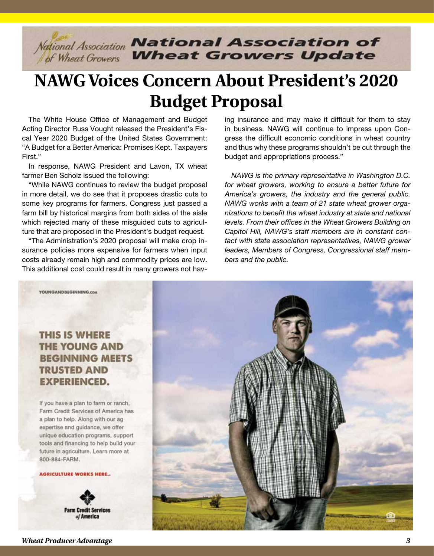

## **NAWG Voices Concern About President's 2020 Budget Proposal**

The White House Office of Management and Budget Acting Director Russ Vought released the President's Fiscal Year 2020 Budget of the United States Government: "A Budget for a Better America: Promises Kept. Taxpayers First."

In response, NAWG President and Lavon, TX wheat farmer Ben Scholz issued the following:

"While NAWG continues to review the budget proposal in more detail, we do see that it proposes drastic cuts to some key programs for farmers. Congress just passed a farm bill by historical margins from both sides of the aisle which rejected many of these misguided cuts to agriculture that are proposed in the President's budget request.

"The Administration's 2020 proposal will make crop insurance policies more expensive for farmers when input costs already remain high and commodity prices are low. This additional cost could result in many growers not having insurance and may make it difficult for them to stay in business. NAWG will continue to impress upon Congress the difficult economic conditions in wheat country and thus why these programs shouldn't be cut through the budget and appropriations process."

*NAWG is the primary representative in Washington D.C. for wheat growers, working to ensure a better future for America's growers, the industry and the general public. NAWG works with a team of 21 state wheat grower organizations to benefit the wheat industry at state and national levels. From their offices in the Wheat Growers Building on Capitol Hill, NAWG's staff members are in constant contact with state association representatives, NAWG grower leaders, Members of Congress, Congressional staff members and the public.*



## **THIS IS WHERE THE YOUNG AND BEGINNING MEETS TRUSTED AND EXPERIENCED.**

If you have a plan to farm or ranch, Farm Credit Services of America has a plan to help. Along with our ag expertise and guidance, we offer unique education programs, support tools and financing to help build your future in agriculture. Learn more at 800-884-FARM.

#### **AGRICULTURE WORKS HERE..**

**Farm Credit Services** of America

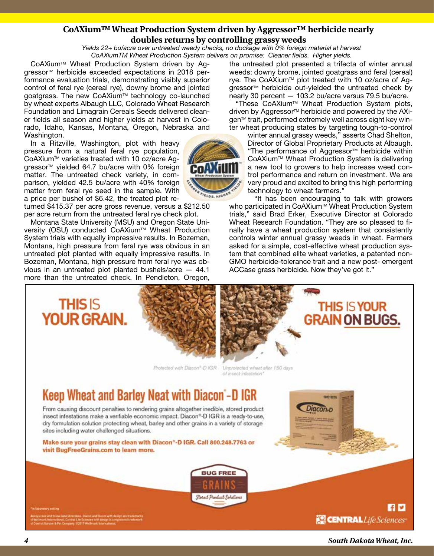#### **CoAXium™ Wheat Production System driven by Aggressor™ herbicide nearly doubles returns by controlling grassy weeds**

*Yields 22+ bu/acre over untreated weedy checks, no dockage with 0% foreign material at harvest CoAXiumTM Wheat Production System delivers on promise: Cleaner fields. Higher yields.*

CoAXium™ Wheat Production System driven by Aggressor<sup>™</sup> herbicide exceeded expectations in 2018 performance evaluation trials, demonstrating visibly superior control of feral rye (cereal rye), downy brome and jointed goatgrass. The new CoAXium™ technology co-launched by wheat experts Albaugh LLC, Colorado Wheat Research Foundation and Limagrain Cereals Seeds delivered cleaner fields all season and higher yields at harvest in Colorado, Idaho, Kansas, Montana, Oregon, Nebraska and Washington.

In a Ritzville, Washington, plot with heavy pressure from a natural feral rye population, CoAXium<sup>™</sup> varieties treated with 10 oz/acre Aggressor<sup>™</sup> yielded 64.7 bu/acre with 0% foreign matter. The untreated check variety, in comparison, yielded 42.5 bu/acre with 40% foreign matter from feral rye seed in the sample. With a price per bushel of \$6.42, the treated plot re-

turned \$415.37 per acre gross revenue, versus a \$212.50 per acre return from the untreated feral rye check plot.

Montana State University (MSU) and Oregon State University (OSU) conducted CoAXium™ Wheat Production System trials with equally impressive results. In Bozeman, Montana, high pressure from feral rye was obvious in an untreated plot planted with equally impressive results. In Bozeman, Montana, high pressure from feral rye was obvious in an untreated plot planted bushels/acre — 44.1 more than the untreated check. In Pendleton, Oregon,

the untreated plot presented a trifecta of winter annual weeds: downy brome, jointed goatgrass and feral (cereal) rye. The CoAXium<sup>™</sup> plot treated with 10 oz/acre of Aggressor<sup>™</sup> herbicide out-yielded the untreated check by nearly 30 percent — 103.2 bu/acre versus 79.5 bu/acre.

"These CoAXiumTM Wheat Production System plots, driven by Aggressor<sup>™</sup> herbicide and powered by the AXigen™ trait, performed extremely well across eight key winter wheat producing states by targeting tough-to-control

winter annual grassy weeds," asserts Chad Shelton, Director of Global Proprietary Products at Albaugh. "The performance of Aggressor<sup>™</sup> herbicide within CoAXium™ Wheat Production System is delivering a new tool to growers to help increase weed control performance and return on investment. We are very proud and excited to bring this high performing technology to wheat farmers."

"It has been encouraging to talk with growers who participated in CoAXium™ Wheat Production System trials," said Brad Erker, Executive Director at Colorado Wheat Research Foundation. "They are so pleased to finally have a wheat production system that consistently controls winter annual grassy weeds in wheat. Farmers asked for a simple, cost-effective wheat production system that combined elite wheat varieties, a patented non-GMO herbicide-tolerance trait and a new post- emergent ACCase grass herbicide. Now they've got it."





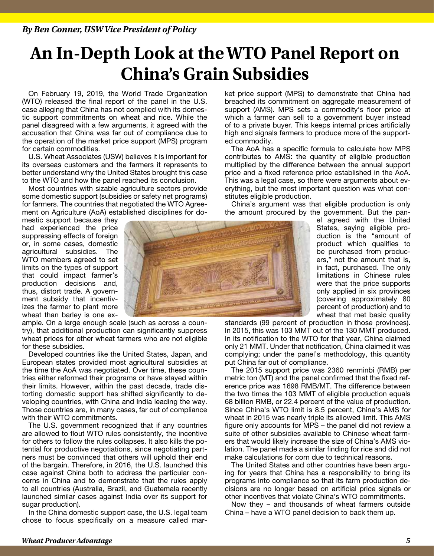## **An In-Depth Look at the WTO Panel Report on China's Grain Subsidies**

On February 19, 2019, the World Trade Organization (WTO) released the final report of the panel in the U.S. case alleging that China has not complied with its domestic support commitments on wheat and rice. While the panel disagreed with a few arguments, it agreed with the accusation that China was far out of compliance due to the operation of the market price support (MPS) program for certain commodities.

U.S. Wheat Associates (USW) believes it is important for its overseas customers and the farmers it represents to better understand why the United States brought this case to the WTO and how the panel reached its conclusion.

Most countries with sizable agriculture sectors provide some domestic support (subsidies or safety net programs) for farmers. The countries that negotiated the WTO Agreement on Agriculture (AoA) established disciplines for do-

mestic support because they had experienced the price suppressing effects of foreign or, in some cases, domestic agricultural subsidies. The WTO members agreed to set limits on the types of support that could impact farmer's production decisions and, thus, distort trade. A government subsidy that incentivizes the farmer to plant more wheat than barley is one ex-

ample. On a large enough scale (such as across a country), that additional production can significantly suppress wheat prices for other wheat farmers who are not eligible for these subsidies.

Developed countries like the United States, Japan, and European states provided most agricultural subsidies at the time the AoA was negotiated. Over time, these countries either reformed their programs or have stayed within their limits. However, within the past decade, trade distorting domestic support has shifted significantly to developing countries, with China and India leading the way. Those countries are, in many cases, far out of compliance with their WTO commitments.

The U.S. government recognized that if any countries are allowed to flout WTO rules consistently, the incentive for others to follow the rules collapses. It also kills the potential for productive negotiations, since negotiating partners must be convinced that others will uphold their end of the bargain. Therefore, in 2016, the U.S. launched this case against China both to address the particular concerns in China and to demonstrate that the rules apply to all countries (Australia, Brazil, and Guatemala recently launched similar cases against India over its support for sugar production).

In the China domestic support case, the U.S. legal team chose to focus specifically on a measure called mar-

ket price support (MPS) to demonstrate that China had breached its commitment on aggregate measurement of support (AMS). MPS sets a commodity's floor price at which a farmer can sell to a government buyer instead of to a private buyer. This keeps internal prices artificially high and signals farmers to produce more of the supported commodity.

The AoA has a specific formula to calculate how MPS contributes to AMS: the quantity of eligible production multiplied by the difference between the annual support price and a fixed reference price established in the AoA. This was a legal case, so there were arguments about everything, but the most important question was what constitutes eligible production.

China's argument was that eligible production is only the amount procured by the government. But the pan-

el agreed with the United States, saying eligible production is the "amount of product which qualifies to be purchased from producers," not the amount that is, in fact, purchased. The only limitations in Chinese rules were that the price supports only applied in six provinces (covering approximately 80 percent of production) and to wheat that met basic quality

standards (99 percent of production in those provinces). In 2015, this was 103 MMT out of the 130 MMT produced. In its notification to the WTO for that year, China claimed only 21 MMT. Under that notification, China claimed it was complying; under the panel's methodology, this quantity put China far out of compliance.

The 2015 support price was 2360 renminbi (RMB) per metric ton (MT) and the panel confirmed that the fixed reference price was 1698 RMB/MT. The difference between the two times the 103 MMT of eligible production equals 68 billion RMB, or 22.4 percent of the value of production. Since China's WTO limit is 8.5 percent, China's AMS for wheat in 2015 was nearly triple its allowed limit. This AMS figure only accounts for MPS – the panel did not review a suite of other subsidies available to Chinese wheat farmers that would likely increase the size of China's AMS violation. The panel made a similar finding for rice and did not make calculations for corn due to technical reasons.

The United States and other countries have been arguing for years that China has a responsibility to bring its programs into compliance so that its farm production decisions are no longer based on artificial price signals or other incentives that violate China's WTO commitments.

Now they – and thousands of wheat farmers outside China – have a WTO panel decision to back them up.

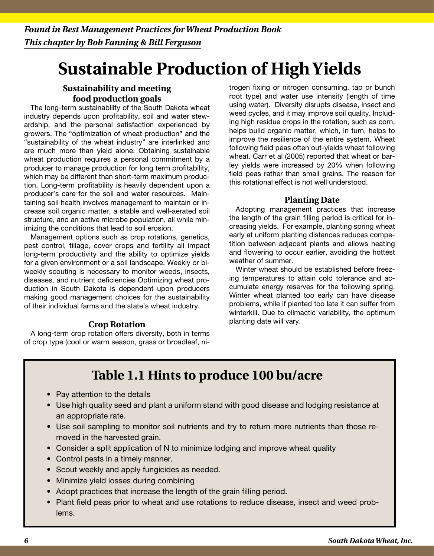# **Sustainable Production of High Yields**

### **Sustainability and meeting food production goals**

The long-term sustainability of the South Dakota wheat industry depends upon profitability, soil and water stewardship, and the personal satisfaction experienced by growers. The "optimization of wheat production" and the "sustainability of the wheat industry" are interlinked and are much more than yield alone. Obtaining sustainable wheat production requires a personal commitment by a producer to manage production for long term profitability, which may be different than short-term maximum production. Long-term profitability is heavily dependent upon a producer's care for the soil and water resources. Maintaining soil health involves management to maintain or increase soil organic matter, a stable and well-aerated soil structure, and an active microbe population, all while minimizing the conditions that lead to soil erosion.

Management options such as crop rotations, genetics, pest control, tillage, cover crops and fertility all impact long-term productivity and the ability to optimize yields for a given environment or a soil landscape. Weekly or biweekly scouting is necessary to monitor weeds, insects, diseases, and nutrient deficiencies Optimizing wheat production in South Dakota is dependent upon producers making good management choices for the sustainability of their individual farms and the state's wheat industry.

#### **Crop Rotation**

A long-term crop rotation offers diversity, both in terms of crop type (cool or warm season, grass or broadleaf, nitrogen fixing or nitrogen consuming, tap or bunch root type) and water use intensity (length of time using water). Diversity disrupts disease, insect and weed cycles, and it may improve soil quality. Including high residue crops in the rotation, such as corn, helps build organic matter, which, in turn, helps to improve the resilience of the entire system. Wheat following field peas often out-yields wheat following wheat. Carr et al (2005) reported that wheat or barley yields were increased by 20% when following field peas rather than small grains. The reason for this rotational effect is not well understood.

### **Planting Date**

Adopting management practices that increase the length of the grain filling period is critical for increasing yields. For example, planting spring wheat early at uniform planting distances reduces competition between adjacent plants and allows heating and flowering to occur earlier, avoiding the hottest weather of summer.

Winter wheat should be established before freezing temperatures to attain cold tolerance and accumulate energy reserves for the following spring. Winter wheat planted too early can have disease problems, while if planted too late it can suffer from winterkill. Due to climactic variability, the optimum planting date will vary.

## **Table 1.1 Hints to produce 100 bu/acre**

- Pay attention to the details
- Use high quality seed and plant a uniform stand with good disease and lodging resistance at an appropriate rate.
- Use soil sampling to monitor soil nutrients and try to return more nutrients than those removed in the harvested grain.
- Consider a split application of N to minimize lodging and improve wheat quality
- Control pests in a timely manner.
- Scout weekly and apply fungicides as needed.
- Minimize yield losses during combining
- Adopt practices that increase the length of the grain filling period.
- Plant field peas prior to wheat and use rotations to reduce disease, insect and weed problems.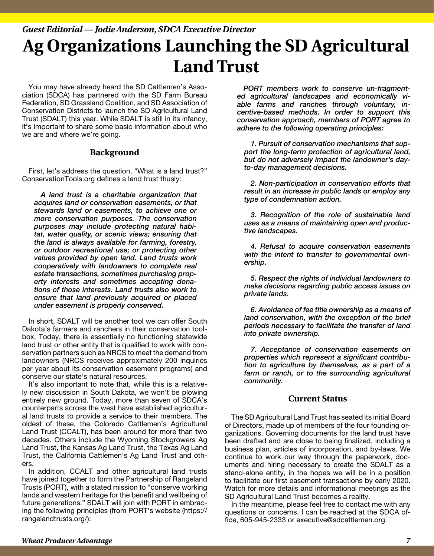## **Ag Organizations Launching the SD Agricultural Land Trust** *Guest Editorial — Jodie Anderson, SDCA Executive Director*

You may have already heard the SD Cattlemen's Association (SDCA) has partnered with the SD Farm Bureau Federation, SD Grassland Coalition, and SD Association of Conservation Districts to launch the SD Agricultural Land Trust (SDALT) this year. While SDALT is still in its infancy, it's important to share some basic information about who we are and where we're going.

#### **Background**

First, let's address the question, "What is a land trust?" ConservationTools.org defines a land trust thusly:

*A land trust is a charitable organization that acquires land or conservation easements, or that stewards land or easements, to achieve one or more conservation purposes. The conservation purposes may include protecting natural habitat, water quality, or scenic views; ensuring that the land is always available for farming, forestry, or outdoor recreational use; or protecting other values provided by open land. Land trusts work cooperatively with landowners to complete real estate transactions, sometimes purchasing property interests and sometimes accepting donations of those interests. Land trusts also work to ensure that land previously acquired or placed under easement is properly conserved.*

In short, SDALT will be another tool we can offer South Dakota's farmers and ranchers in their conservation toolbox. Today, there is essentially no functioning statewide land trust or other entity that is qualified to work with conservation partners such as NRCS to meet the demand from landowners (NRCS receives approximately 200 inquiries per year about its conservation easement programs) and conserve our state's natural resources.

It's also important to note that, while this is a relatively new discussion in South Dakota, we won't be plowing entirely new ground. Today, more than seven of SDCA's counterparts across the west have established agricultural land trusts to provide a service to their members. The oldest of these, the Colorado Cattlemen's Agricultural Land Trust (CCALT), has been around for more than two decades. Others include the Wyoming Stockgrowers Ag Land Trust, the Kansas Ag Land Trust, the Texas Ag Land Trust, the California Cattlemen's Ag Land Trust and others.

In addition, CCALT and other agricultural land trusts have joined together to form the Partnership of Rangeland Trusts (PORT), with a stated mission to "conserve working lands and western heritage for the benefit and wellbeing of future generations." SDALT will join with PORT in embracing the following principles (from PORT's website (https:// rangelandtrusts.org/):

*PORT members work to conserve un-fragmented agricultural landscapes and economically viable farms and ranches through voluntary, incentive-based methods. In order to support this conservation approach, members of PORT agree to adhere to the following operating principles:*

*1. Pursuit of conservation mechanisms that support the long-term protection of agricultural land, but do not adversely impact the landowner's dayto-day management decisions.*

*2. Non-participation in conservation efforts that result in an increase in public lands or employ any type of condemnation action.*

*3. Recognition of the role of sustainable land uses as a means of maintaining open and productive landscapes.*

*4. Refusal to acquire conservation easements with the intent to transfer to governmental ownership.*

*5. Respect the rights of individual landowners to make decisions regarding public access issues on private lands.*

*6. Avoidance of fee title ownership as a means of land conservation, with the exception of the brief periods necessary to facilitate the transfer of land into private ownership.*

*7. Acceptance of conservation easements on properties which represent a significant contribution to agriculture by themselves, as a part of a farm or ranch, or to the surrounding agricultural community.*

#### **Current Status**

The SD Agricultural Land Trust has seated its initial Board of Directors, made up of members of the four founding organizations. Governing documents for the land trust have been drafted and are close to being finalized, including a business plan, articles of incorporation, and by-laws. We continue to work our way through the paperwork, documents and hiring necessary to create the SDALT as a stand-alone entity, in the hopes we will be in a position to facilitate our first easement transactions by early 2020. Watch for more details and informational meetings as the SD Agricultural Land Trust becomes a reality.

In the meantime, please feel free to contact me with any questions or concerns. I can be reached at the SDCA office, 605-945-2333 or executive@sdcattlemen.org.